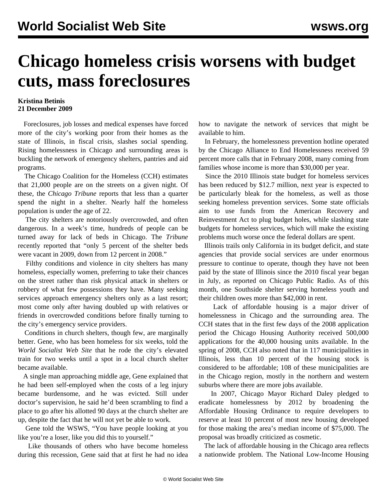# **Chicago homeless crisis worsens with budget cuts, mass foreclosures**

### **Kristina Betinis 21 December 2009**

 Foreclosures, job losses and medical expenses have forced more of the city's working poor from their homes as the state of Illinois, in fiscal crisis, slashes social spending. Rising homelessness in Chicago and surrounding areas is buckling the network of emergency shelters, pantries and aid programs.

 The Chicago Coalition for the Homeless (CCH) estimates that 21,000 people are on the streets on a given night. Of these, the *Chicago Tribune* reports that less than a quarter spend the night in a shelter. Nearly half the homeless population is under the age of 22.

 The city shelters are notoriously overcrowded, and often dangerous. In a week's time, hundreds of people can be turned away for lack of beds in Chicago. The *Tribune* recently reported that "only 5 percent of the shelter beds were vacant in 2009, down from 12 percent in 2008."

 Filthy conditions and violence in city shelters has many homeless, especially women, preferring to take their chances on the street rather than risk physical attack in shelters or robbery of what few possessions they have. Many seeking services approach emergency shelters only as a last resort; most come only after having doubled up with relatives or friends in overcrowded conditions before finally turning to the city's emergency service providers.

 Conditions in church shelters, though few, are marginally better. Gene, who has been homeless for six weeks, told the *World Socialist Web Site* that he rode the city's elevated train for two weeks until a spot in a local church shelter became available.

 A single man approaching middle age, Gene explained that he had been self-employed when the costs of a leg injury became burdensome, and he was evicted. Still under doctor's supervision, he said he'd been scrambling to find a place to go after his allotted 90 days at the church shelter are up, despite the fact that he will not yet be able to work.

 Gene told the WSWS, "You have people looking at you like you're a loser, like you did this to yourself."

 Like thousands of others who have become homeless during this recession, Gene said that at first he had no idea how to navigate the network of services that might be available to him.

 In February, the homelessness prevention hotline operated by the Chicago Alliance to End Homelessness received 59 percent more calls that in February 2008, many coming from families whose income is more than \$30,000 per year.

 Since the 2010 Illinois state budget for homeless services has been reduced by \$12.7 million, next year is expected to be particularly bleak for the homeless, as well as those seeking homeless prevention services. Some state officials aim to use funds from the American Recovery and Reinvestment Act to plug budget holes, while slashing state budgets for homeless services, which will make the existing problems much worse once the federal dollars are spent.

 Illinois trails only California in its budget deficit, and state agencies that provide social services are under enormous pressure to continue to operate, though they have not been paid by the state of Illinois since the 2010 fiscal year began in July, as reported on Chicago Public Radio. As of this month, one Southside shelter serving homeless youth and their children owes more than \$42,000 in rent.

 Lack of affordable housing is a major driver of homelessness in Chicago and the surrounding area. The CCH states that in the first few days of the 2008 application period the Chicago Housing Authority received 500,000 applications for the 40,000 housing units available. In the spring of 2008, CCH also noted that in 117 municipalities in Illinois, less than 10 percent of the housing stock is considered to be affordable; 108 of these municipalities are in the Chicago region, mostly in the northern and western suburbs where there are more jobs available.

 In 2007, Chicago Mayor Richard Daley pledged to eradicate homelessness by 2012 by broadening the Affordable Housing Ordinance to require developers to reserve at least 10 percent of most new housing developed for those making the area's median income of \$75,000. The proposal was broadly criticized as cosmetic.

 The lack of affordable housing in the Chicago area reflects a nationwide problem. The National Low-Income Housing